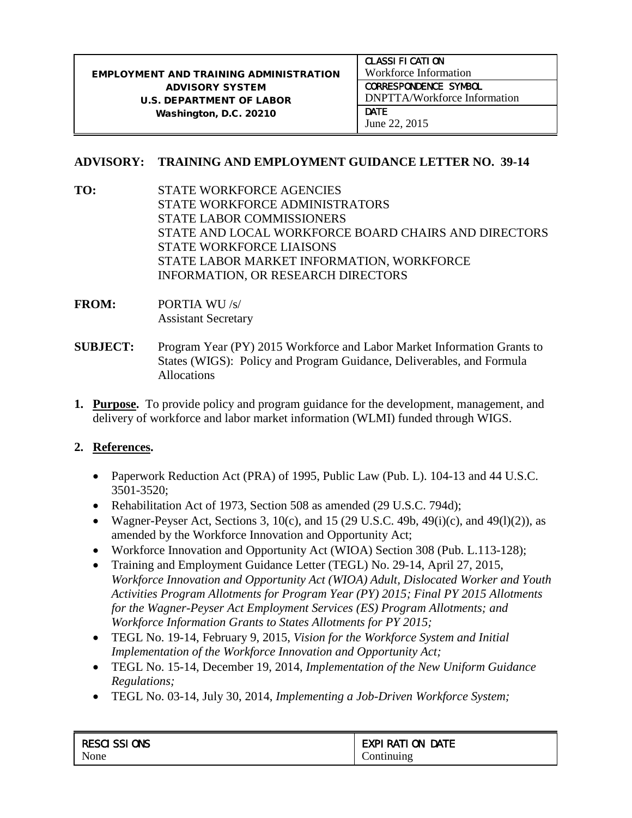|                                                        | <b>CLASSI FI CATI ON</b>            |  |
|--------------------------------------------------------|-------------------------------------|--|
| <b>EMPLOYMENT AND TRAINING ADMINISTRATION</b>          | Workforce Information               |  |
| <b>CORRESPONDENCE SYMBOL</b><br><b>ADVISORY SYSTEM</b> |                                     |  |
| <b>U.S. DEPARTMENT OF LABOR</b>                        | <b>DNPTTA/Workforce Information</b> |  |
| Washington, D.C. 20210                                 | DATE                                |  |
|                                                        | June 22, 2015                       |  |

## **ADVISORY: TRAINING AND EMPLOYMENT GUIDANCE LETTER NO. 39-14**

- **TO:** STATE WORKFORCE AGENCIES STATE WORKFORCE ADMINISTRATORS STATE LABOR COMMISSIONERS STATE AND LOCAL WORKFORCE BOARD CHAIRS AND DIRECTORS STATE WORKFORCE LIAISONS STATE LABOR MARKET INFORMATION, WORKFORCE INFORMATION, OR RESEARCH DIRECTORS
- **FROM:** PORTIA WU /s/ Assistant Secretary
- **SUBJECT:** Program Year (PY) 2015 Workforce and Labor Market Information Grants to States (WIGS): Policy and Program Guidance, Deliverables, and Formula Allocations
- **1. Purpose.** To provide policy and program guidance for the development, management, and delivery of workforce and labor market information (WLMI) funded through WIGS.

## **2. References.**

- Paperwork Reduction Act (PRA) of 1995, Public Law (Pub. L). 104-13 and 44 U.S.C. 3501-3520;
- Rehabilitation Act of 1973, Section 508 as amended (29 U.S.C. 794d);
- Wagner-Peyser Act, Sections 3,  $10(c)$ , and 15 (29 U.S.C. 49b, 49(i)(c), and 49(1)(2)), as amended by the Workforce Innovation and Opportunity Act;
- Workforce Innovation and Opportunity Act (WIOA) Section 308 (Pub. L.113-128);
- Training and Employment Guidance Letter (TEGL) No. 29-14, April 27, 2015, *Workforce Innovation and Opportunity Act (WIOA) Adult, Dislocated Worker and Youth Activities Program Allotments for Program Year (PY) 2015; Final PY 2015 Allotments for the Wagner-Peyser Act Employment Services (ES) Program Allotments; and Workforce Information Grants to States Allotments for PY 2015;*
- TEGL No. 19-14, February 9, 2015, *Vision for the Workforce System and Initial Implementation of the Workforce Innovation and Opportunity Act;*
- TEGL No. 15-14, December 19, 2014, *Implementation of the New Uniform Guidance Regulations;*
- TEGL No. 03-14, July 30, 2014, *Implementing a Job-Driven Workforce System;*

| <b>RESCI SSI ONS</b> | <b>EXPI RATI ON</b><br><b>DATE</b> |
|----------------------|------------------------------------|
| None                 | .`ontınuıng                        |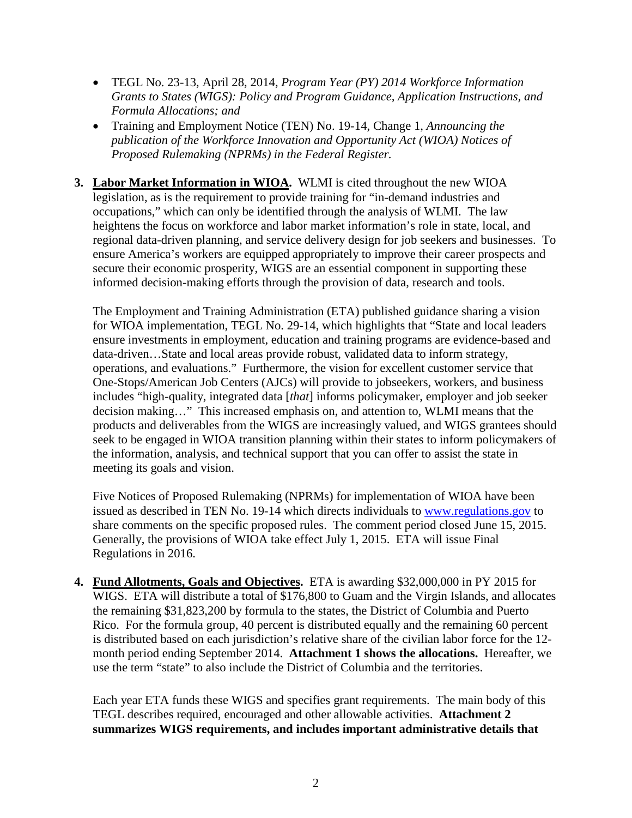- TEGL No. 23-13, April 28, 2014, *Program Year (PY) 2014 Workforce Information Grants to States (WIGS): Policy and Program Guidance, Application Instructions, and Formula Allocations; and*
- Training and Employment Notice (TEN) No. 19-14, Change 1, *Announcing the publication of the Workforce Innovation and Opportunity Act (WIOA) Notices of Proposed Rulemaking (NPRMs) in the Federal Register.*
- **3. Labor Market Information in WIOA.** WLMI is cited throughout the new WIOA legislation, as is the requirement to provide training for "in-demand industries and occupations," which can only be identified through the analysis of WLMI. The law heightens the focus on workforce and labor market information's role in state, local, and regional data-driven planning, and service delivery design for job seekers and businesses. To ensure America's workers are equipped appropriately to improve their career prospects and secure their economic prosperity, WIGS are an essential component in supporting these informed decision-making efforts through the provision of data, research and tools.

The Employment and Training Administration (ETA) published guidance sharing a vision for WIOA implementation, TEGL No. 29-14, which highlights that "State and local leaders ensure investments in employment, education and training programs are evidence-based and data-driven…State and local areas provide robust, validated data to inform strategy, operations, and evaluations." Furthermore, the vision for excellent customer service that One-Stops/American Job Centers (AJCs) will provide to jobseekers, workers, and business includes "high-quality, integrated data [*that*] informs policymaker, employer and job seeker decision making…" This increased emphasis on, and attention to, WLMI means that the products and deliverables from the WIGS are increasingly valued, and WIGS grantees should seek to be engaged in WIOA transition planning within their states to inform policymakers of the information, analysis, and technical support that you can offer to assist the state in meeting its goals and vision.

Five Notices of Proposed Rulemaking (NPRMs) for implementation of WIOA have been issued as described in TEN No. 19-14 which directs individuals to [www.regulations.gov](http://www.regulations.gov/) to share comments on the specific proposed rules. The comment period closed June 15, 2015. Generally, the provisions of WIOA take effect July 1, 2015. ETA will issue Final Regulations in 2016.

**4. Fund Allotments, Goals and Objectives.** ETA is awarding \$32,000,000 in PY 2015 for WIGS. ETA will distribute a total of \$176,800 to Guam and the Virgin Islands, and allocates the remaining \$31,823,200 by formula to the states, the District of Columbia and Puerto Rico. For the formula group, 40 percent is distributed equally and the remaining 60 percent is distributed based on each jurisdiction's relative share of the civilian labor force for the 12 month period ending September 2014. **Attachment 1 shows the allocations.** Hereafter, we use the term "state" to also include the District of Columbia and the territories.

Each year ETA funds these WIGS and specifies grant requirements. The main body of this TEGL describes required, encouraged and other allowable activities. **Attachment 2 summarizes WIGS requirements, and includes important administrative details that**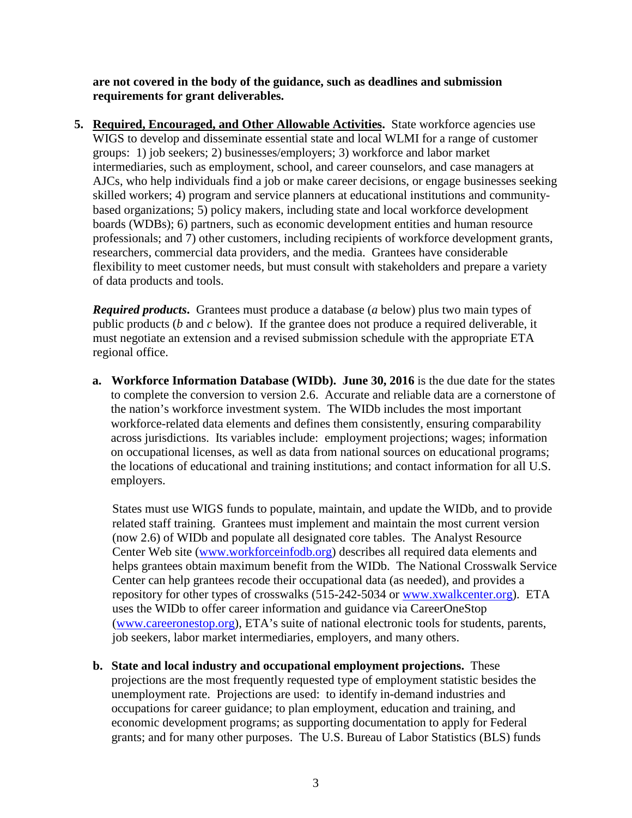**are not covered in the body of the guidance, such as deadlines and submission requirements for grant deliverables.**

**5.** Required, Encouraged, and Other Allowable Activities. State workforce agencies use WIGS to develop and disseminate essential state and local WLMI for a range of customer groups: 1) job seekers; 2) businesses/employers; 3) workforce and labor market intermediaries, such as employment, school, and career counselors, and case managers at AJCs, who help individuals find a job or make career decisions, or engage businesses seeking skilled workers; 4) program and service planners at educational institutions and communitybased organizations; 5) policy makers, including state and local workforce development boards (WDBs); 6) partners, such as economic development entities and human resource professionals; and 7) other customers, including recipients of workforce development grants, researchers, commercial data providers, and the media. Grantees have considerable flexibility to meet customer needs, but must consult with stakeholders and prepare a variety of data products and tools.

*Required products***.** Grantees must produce a database (*a* below) plus two main types of public products (*b* and *c* below). If the grantee does not produce a required deliverable, it must negotiate an extension and a revised submission schedule with the appropriate ETA regional office.

**a. Workforce Information Database (WIDb). June 30, 2016** is the due date for the states to complete the conversion to version 2.6. Accurate and reliable data are a cornerstone of the nation's workforce investment system. The WIDb includes the most important workforce-related data elements and defines them consistently, ensuring comparability across jurisdictions. Its variables include: employment projections; wages; information on occupational licenses, as well as data from national sources on educational programs; the locations of educational and training institutions; and contact information for all U.S. employers.

States must use WIGS funds to populate, maintain, and update the WIDb, and to provide related staff training. Grantees must implement and maintain the most current version (now 2.6) of WIDb and populate all designated core tables. The Analyst Resource Center Web site [\(www.workforceinfodb.org\)](http://www.workforceinfodb.org/) describes all required data elements and helps grantees obtain maximum benefit from the WIDb. The National Crosswalk Service Center can help grantees recode their occupational data (as needed), and provides a repository for other types of crosswalks (515-242-5034 or [www.xwalkcenter.org\)](http://www.xwalkcenter.org/). ETA uses the WIDb to offer career information and guidance via CareerOneStop [\(www.careeronestop.org\)](http://www.careeronestop.org/), ETA's suite of national electronic tools for students, parents, job seekers, labor market intermediaries, employers, and many others.

**b. State and local industry and occupational employment projections.** These projections are the most frequently requested type of employment statistic besides the unemployment rate. Projections are used: to identify in-demand industries and occupations for career guidance; to plan employment, education and training, and economic development programs; as supporting documentation to apply for Federal grants; and for many other purposes. The U.S. Bureau of Labor Statistics (BLS) funds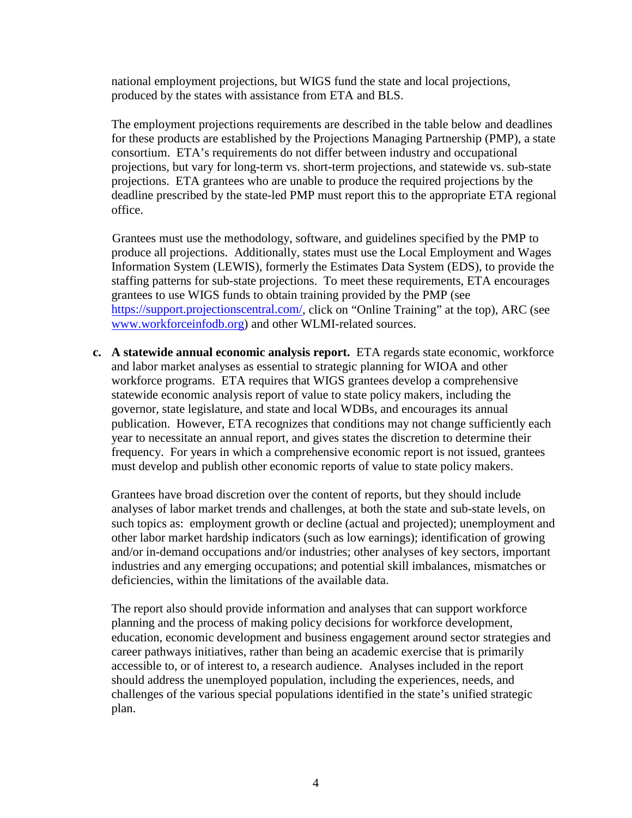national employment projections, but WIGS fund the state and local projections, produced by the states with assistance from ETA and BLS.

The employment projections requirements are described in the table below and deadlines for these products are established by the Projections Managing Partnership (PMP), a state consortium. ETA's requirements do not differ between industry and occupational projections, but vary for long-term vs. short-term projections, and statewide vs. sub-state projections. ETA grantees who are unable to produce the required projections by the deadline prescribed by the state-led PMP must report this to the appropriate ETA regional office.

Grantees must use the methodology, software, and guidelines specified by the PMP to produce all projections. Additionally, states must use the Local Employment and Wages Information System (LEWIS), formerly the Estimates Data System (EDS), to provide the staffing patterns for sub-state projections. To meet these requirements, ETA encourages grantees to use WIGS funds to obtain training provided by the PMP (see [https://support.projectionscentral.com/,](https://support.projectionscentral.com/) click on "Online Training" at the top), ARC (see [www.workforceinfodb.org\)](http://www.workforceinfodb.org/) and other WLMI-related sources.

**c. A statewide annual economic analysis report.** ETA regards state economic, workforce and labor market analyses as essential to strategic planning for WIOA and other workforce programs. ETA requires that WIGS grantees develop a comprehensive statewide economic analysis report of value to state policy makers, including the governor, state legislature, and state and local WDBs, and encourages its annual publication. However, ETA recognizes that conditions may not change sufficiently each year to necessitate an annual report, and gives states the discretion to determine their frequency. For years in which a comprehensive economic report is not issued, grantees must develop and publish other economic reports of value to state policy makers.

Grantees have broad discretion over the content of reports, but they should include analyses of labor market trends and challenges, at both the state and sub-state levels, on such topics as: employment growth or decline (actual and projected); unemployment and other labor market hardship indicators (such as low earnings); identification of growing and/or in-demand occupations and/or industries; other analyses of key sectors, important industries and any emerging occupations; and potential skill imbalances, mismatches or deficiencies, within the limitations of the available data.

The report also should provide information and analyses that can support workforce planning and the process of making policy decisions for workforce development, education, economic development and business engagement around sector strategies and career pathways initiatives, rather than being an academic exercise that is primarily accessible to, or of interest to, a research audience. Analyses included in the report should address the unemployed population, including the experiences, needs, and challenges of the various special populations identified in the state's unified strategic plan.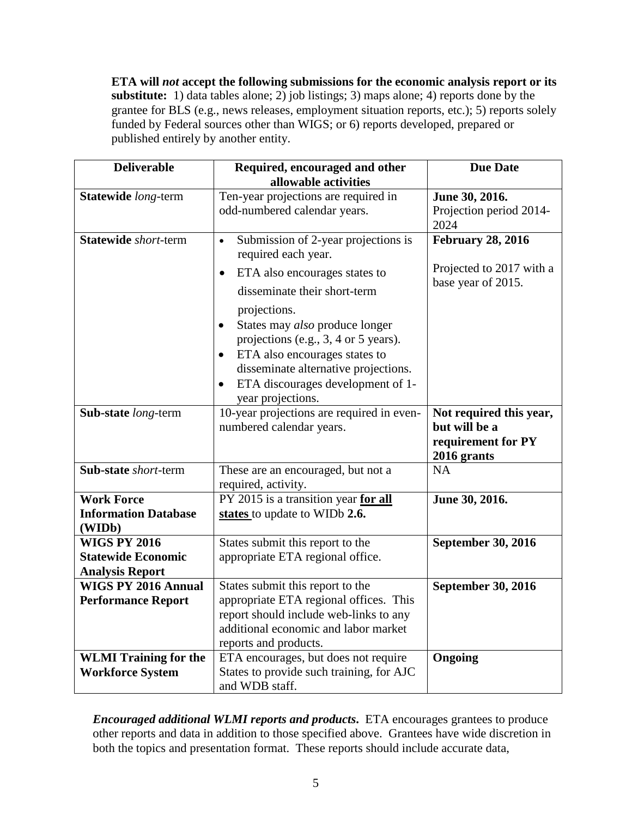**ETA will** *not* **accept the following submissions for the economic analysis report or its substitute:** 1) data tables alone; 2) job listings; 3) maps alone; 4) reports done by the grantee for BLS (e.g., news releases, employment situation reports, etc.); 5) reports solely funded by Federal sources other than WIGS; or 6) reports developed, prepared or published entirely by another entity.

| <b>Deliverable</b>                                                         | Required, encouraged and other<br>allowable activities                                                                                                                                                                                                                  | <b>Due Date</b>                                                               |
|----------------------------------------------------------------------------|-------------------------------------------------------------------------------------------------------------------------------------------------------------------------------------------------------------------------------------------------------------------------|-------------------------------------------------------------------------------|
| Statewide long-term                                                        | Ten-year projections are required in<br>odd-numbered calendar years.                                                                                                                                                                                                    | June 30, 2016.<br>Projection period 2014-<br>2024                             |
| Statewide short-term                                                       | Submission of 2-year projections is<br>$\bullet$<br>required each year.                                                                                                                                                                                                 | <b>February 28, 2016</b>                                                      |
|                                                                            | ETA also encourages states to<br>$\bullet$<br>disseminate their short-term<br>projections.<br>States may also produce longer<br>$\bullet$<br>projections (e.g., 3, 4 or 5 years).<br>ETA also encourages states to<br>$\bullet$<br>disseminate alternative projections. | Projected to 2017 with a<br>base year of 2015.                                |
|                                                                            | ETA discourages development of 1-<br>$\bullet$<br>year projections.                                                                                                                                                                                                     |                                                                               |
| Sub-state long-term                                                        | 10-year projections are required in even-<br>numbered calendar years.                                                                                                                                                                                                   | Not required this year,<br>but will be a<br>requirement for PY<br>2016 grants |
| <b>Sub-state</b> short-term                                                | These are an encouraged, but not a<br>required, activity.                                                                                                                                                                                                               | <b>NA</b>                                                                     |
| <b>Work Force</b><br><b>Information Database</b><br>(WIDb)                 | PY 2015 is a transition year for all<br>states to update to WIDb 2.6.                                                                                                                                                                                                   | June 30, 2016.                                                                |
| <b>WIGS PY 2016</b><br><b>Statewide Economic</b><br><b>Analysis Report</b> | States submit this report to the<br>appropriate ETA regional office.                                                                                                                                                                                                    | <b>September 30, 2016</b>                                                     |
| <b>WIGS PY 2016 Annual</b><br><b>Performance Report</b>                    | States submit this report to the<br>appropriate ETA regional offices. This<br>report should include web-links to any<br>additional economic and labor market<br>reports and products.                                                                                   | <b>September 30, 2016</b>                                                     |
| <b>WLMI</b> Training for the<br><b>Workforce System</b>                    | ETA encourages, but does not require<br>States to provide such training, for AJC<br>and WDB staff.                                                                                                                                                                      | Ongoing                                                                       |

*Encouraged additional WLMI reports and products.* ETA encourages grantees to produce other reports and data in addition to those specified above. Grantees have wide discretion in both the topics and presentation format. These reports should include accurate data,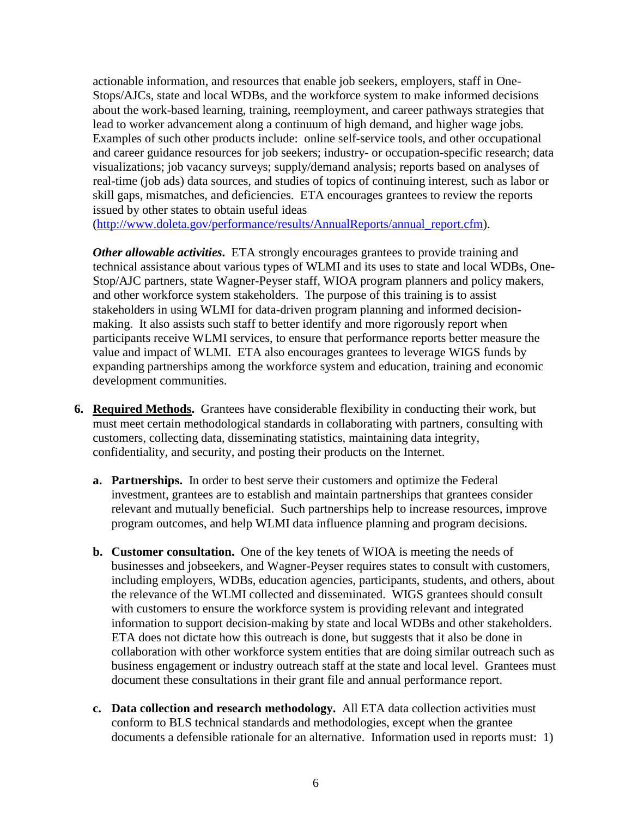actionable information, and resources that enable job seekers, employers, staff in One-Stops/AJCs, state and local WDBs, and the workforce system to make informed decisions about the work-based learning, training, reemployment, and career pathways strategies that lead to worker advancement along a continuum of high demand, and higher wage jobs. Examples of such other products include: online self-service tools, and other occupational and career guidance resources for job seekers; industry- or occupation-specific research; data visualizations; job vacancy surveys; supply/demand analysis; reports based on analyses of real-time (job ads) data sources, and studies of topics of continuing interest, such as labor or skill gaps, mismatches, and deficiencies. ETA encourages grantees to review the reports issued by other states to obtain useful ideas

[\(http://www.doleta.gov/performance/results/AnnualReports/annual\\_report.cfm\)](http://www.doleta.gov/performance/results/AnnualReports/annual_report.cfm).

*Other allowable activities.* ETA strongly encourages grantees to provide training and technical assistance about various types of WLMI and its uses to state and local WDBs, One-Stop/AJC partners, state Wagner-Peyser staff, WIOA program planners and policy makers, and other workforce system stakeholders. The purpose of this training is to assist stakeholders in using WLMI for data-driven program planning and informed decisionmaking. It also assists such staff to better identify and more rigorously report when participants receive WLMI services, to ensure that performance reports better measure the value and impact of WLMI. ETA also encourages grantees to leverage WIGS funds by expanding partnerships among the workforce system and education, training and economic development communities.

- **6. Required Methods.** Grantees have considerable flexibility in conducting their work, but must meet certain methodological standards in collaborating with partners, consulting with customers, collecting data, disseminating statistics, maintaining data integrity, confidentiality, and security, and posting their products on the Internet.
	- **a. Partnerships.** In order to best serve their customers and optimize the Federal investment, grantees are to establish and maintain partnerships that grantees consider relevant and mutually beneficial. Such partnerships help to increase resources, improve program outcomes, and help WLMI data influence planning and program decisions.
	- **b. Customer consultation.** One of the key tenets of WIOA is meeting the needs of businesses and jobseekers, and Wagner-Peyser requires states to consult with customers, including employers, WDBs, education agencies, participants, students, and others, about the relevance of the WLMI collected and disseminated. WIGS grantees should consult with customers to ensure the workforce system is providing relevant and integrated information to support decision-making by state and local WDBs and other stakeholders. ETA does not dictate how this outreach is done, but suggests that it also be done in collaboration with other workforce system entities that are doing similar outreach such as business engagement or industry outreach staff at the state and local level. Grantees must document these consultations in their grant file and annual performance report.
	- **c. Data collection and research methodology.** All ETA data collection activities must conform to BLS technical standards and methodologies, except when the grantee documents a defensible rationale for an alternative. Information used in reports must: 1)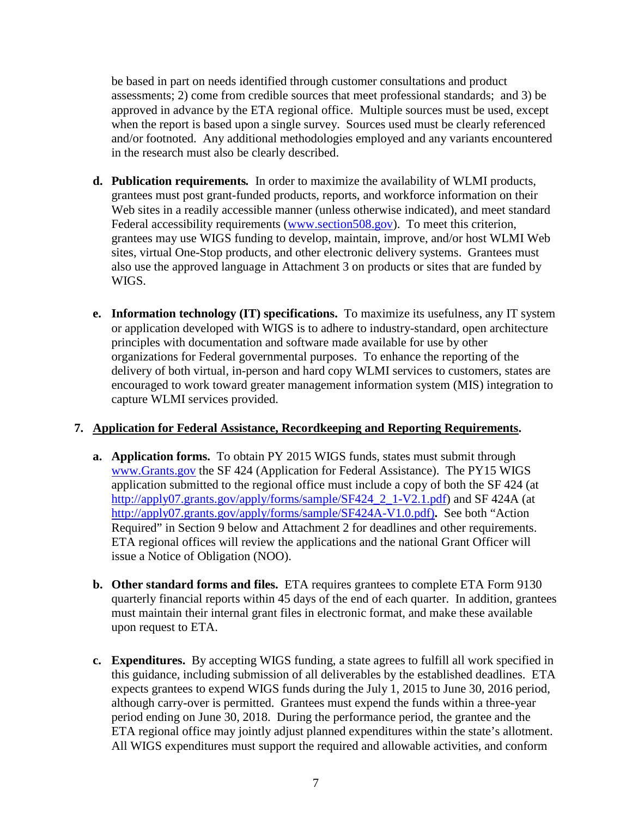be based in part on needs identified through customer consultations and product assessments; 2) come from credible sources that meet professional standards; and 3) be approved in advance by the ETA regional office. Multiple sources must be used, except when the report is based upon a single survey. Sources used must be clearly referenced and/or footnoted. Any additional methodologies employed and any variants encountered in the research must also be clearly described.

- **d. Publication requirements***.* In order to maximize the availability of WLMI products, grantees must post grant-funded products, reports, and workforce information on their Web sites in a readily accessible manner (unless otherwise indicated), and meet standard Federal accessibility requirements [\(www.section508.gov\)](http://www.section508.gov/). To meet this criterion, grantees may use WIGS funding to develop, maintain, improve, and/or host WLMI Web sites, virtual One-Stop products, and other electronic delivery systems. Grantees must also use the approved language in Attachment 3 on products or sites that are funded by WIGS.
- **e. Information technology (IT) specifications.** To maximize its usefulness, any IT system or application developed with WIGS is to adhere to industry-standard, open architecture principles with documentation and software made available for use by other organizations for Federal governmental purposes. To enhance the reporting of the delivery of both virtual, in-person and hard copy WLMI services to customers, states are encouraged to work toward greater management information system (MIS) integration to capture WLMI services provided.

## **7. Application for Federal Assistance, Recordkeeping and Reporting Requirements.**

- **a. Application forms.** To obtain PY 2015 WIGS funds, states must submit through [www.Grants.gov](http://www.grants.gov/) the SF 424 (Application for Federal Assistance). The PY15 WIGS application submitted to the regional office must include a copy of both the SF 424 (at [http://apply07.grants.gov/apply/forms/sample/SF424\\_2\\_1-V2.1.pdf\)](http://apply07.grants.gov/apply/forms/sample/SF424_2_1-V2.1.pdf) and SF 424A (at [http://apply07.grants.gov/apply/forms/sample/SF424A-V1.0.pdf\)](http://apply07.grants.gov/apply/forms/sample/SF424A-V1.0.pdf)**.** See both "Action Required" in Section 9 below and Attachment 2 for deadlines and other requirements. ETA regional offices will review the applications and the national Grant Officer will issue a Notice of Obligation (NOO).
- **b. Other standard forms and files.** ETA requires grantees to complete ETA Form 9130 quarterly financial reports within 45 days of the end of each quarter. In addition, grantees must maintain their internal grant files in electronic format, and make these available upon request to ETA.
- **c. Expenditures.** By accepting WIGS funding, a state agrees to fulfill all work specified in this guidance, including submission of all deliverables by the established deadlines. ETA expects grantees to expend WIGS funds during the July 1, 2015 to June 30, 2016 period, although carry-over is permitted. Grantees must expend the funds within a three-year period ending on June 30, 2018. During the performance period, the grantee and the ETA regional office may jointly adjust planned expenditures within the state's allotment. All WIGS expenditures must support the required and allowable activities, and conform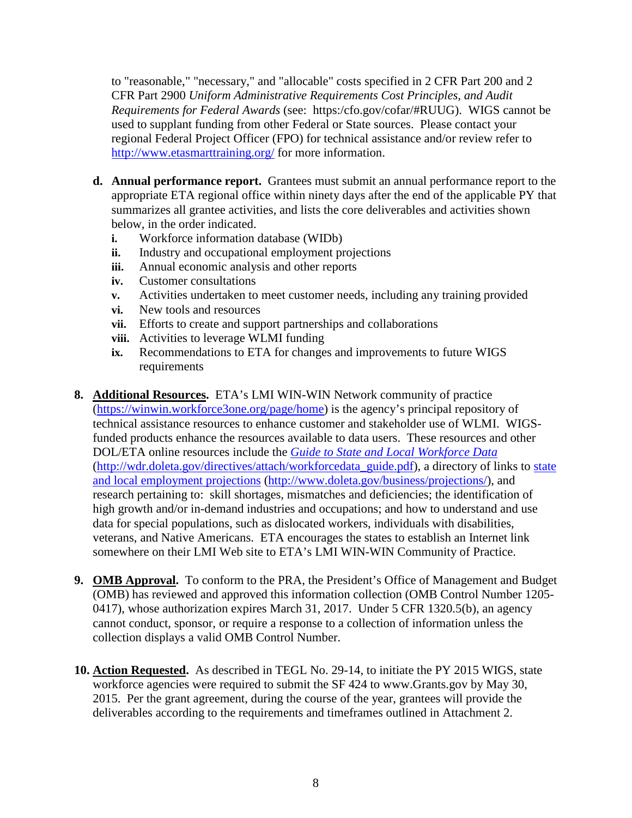to "reasonable," "necessary," and "allocable" costs specified in 2 CFR Part 200 and 2 CFR Part 2900 *Uniform Administrative Requirements Cost Principles, and Audit Requirements for Federal Awards* (see: https:/cfo.gov/cofar/#RUUG). WIGS cannot be used to supplant funding from other Federal or State sources. Please contact your regional Federal Project Officer (FPO) for technical assistance and/or review refer to <http://www.etasmarttraining.org/> for more information.

- **d. Annual performance report.** Grantees must submit an annual performance report to the appropriate ETA regional office within ninety days after the end of the applicable PY that summarizes all grantee activities, and lists the core deliverables and activities shown below, in the order indicated.
	- **i.** Workforce information database (WIDb)
	- **ii.** Industry and occupational employment projections
	- **iii.** Annual economic analysis and other reports
	- **iv.** Customer consultations
	- **v.** Activities undertaken to meet customer needs, including any training provided
	- **vi.** New tools and resources
	- **vii.** Efforts to create and support partnerships and collaborations
	- **viii.** Activities to leverage WLMI funding
	- **ix.** Recommendations to ETA for changes and improvements to future WIGS requirements
- **8. Additional Resources.** ETA's LMI WIN-WIN Network community of practice [\(https://winwin.workforce3one.org/page/home\)](https://winwin.workforce3one.org/page/home) is the agency's principal repository of technical assistance resources to enhance customer and stakeholder use of WLMI. WIGSfunded products enhance the resources available to data users. These resources and other DOL/ETA online resources include the *[Guide to State and Local Workforce Data](http://wdr.doleta.gov/directives/attach/workforcedata_guide.pdf)* [\(http://wdr.doleta.gov/directives/attach/workforcedata\\_guide.pdf\)](http://wdr.doleta.gov/directives/attach/workforcedata_guide.pdf), a directory of links to [state](http://www.doleta.gov/business/projections/)  [and local employment projections](http://www.doleta.gov/business/projections/) [\(http://www.doleta.gov/business/projections/\)](http://www.doleta.gov/business/projections/), and research pertaining to: skill shortages, mismatches and deficiencies; the identification of high growth and/or in-demand industries and occupations; and how to understand and use data for special populations, such as dislocated workers, individuals with disabilities, veterans, and Native Americans. ETA encourages the states to establish an Internet link somewhere on their LMI Web site to ETA's LMI WIN-WIN Community of Practice.
- **9. OMB Approval.** To conform to the PRA, the President's Office of Management and Budget (OMB) has reviewed and approved this information collection (OMB Control Number 1205- 0417), whose authorization expires March 31, 2017. Under 5 CFR 1320.5(b), an agency cannot conduct, sponsor, or require a response to a collection of information unless the collection displays a valid OMB Control Number.
- **10. Action Requested.** As described in TEGL No. 29-14, to initiate the PY 2015 WIGS, state workforce agencies were required to submit the SF 424 to www.Grants.gov by May 30, 2015. Per the grant agreement, during the course of the year, grantees will provide the deliverables according to the requirements and timeframes outlined in Attachment 2.